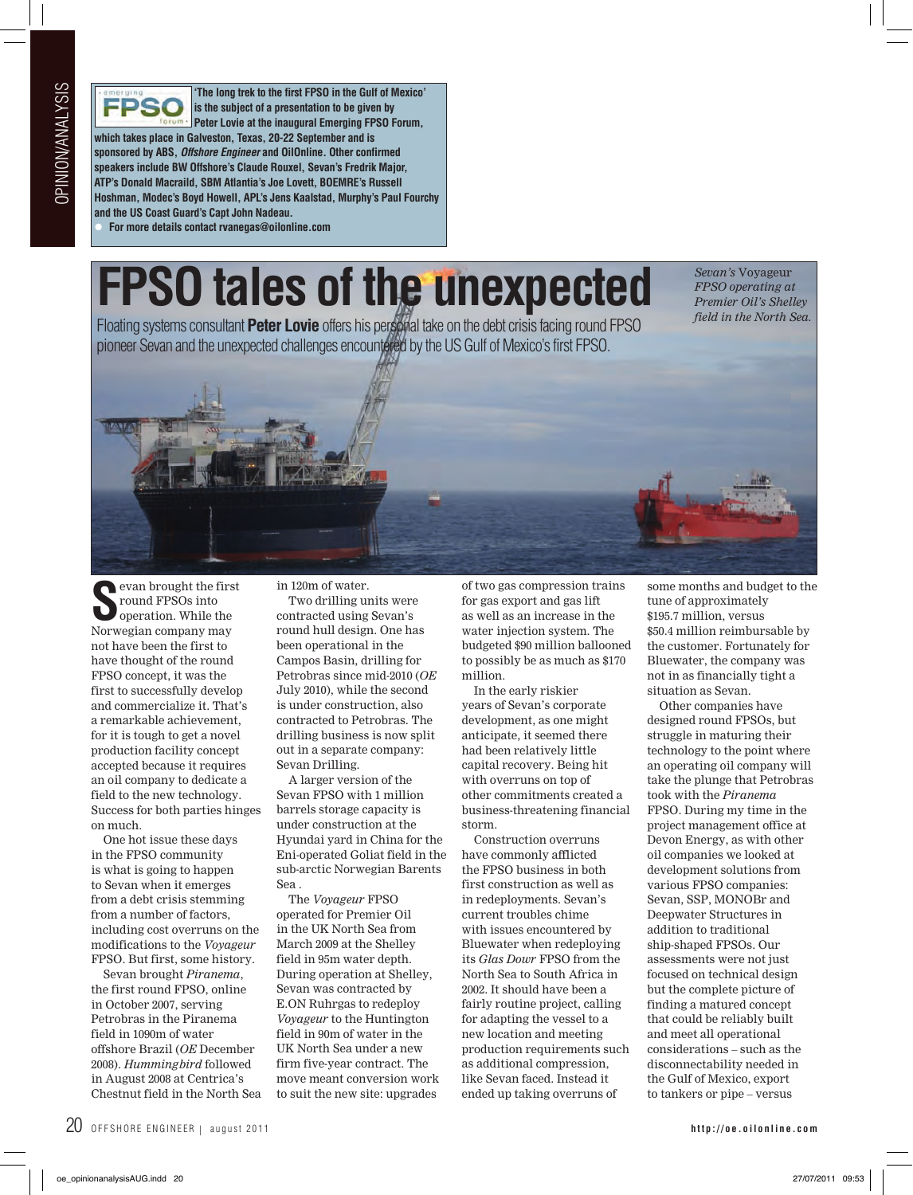

**'The long trek to the first FPSO in the Gulf of Mexico' is the subject of a presentation to be given by Peter Lovie at the inaugural Emerging FPSO Forum, which takes place in Galveston, Texas, 20-22 September and is sponsored by ABS,** *Offshore Engineer* **and OilOnline. Other confirmed speakers include BW Offshore's Claude Rouxel, Sevan's Fredrik Major, ATP's Donald Macraild, SBM Atlantia's Joe Lovett, BOEMRE's Russell Hoshman, Modec's Boyd Howell, APL's Jens Kaalstad, Murphy's Paul Fourchy and the US Coast Guard's Capt John Nadeau.**

l **For more details contact rvanegas@oilonline.com** 

## **FPSO tales of the unexpected**

Floating systems consultant **Peter Lovie** offers his personal take on the debt crisis facing round FPSO pioneer Sevan and the unexpected challenges encountered by the US Gulf of Mexico's first FPSO.

*Sevan's* Voyageur *FPSO operating at Premier Oil's Shelley field in the North Sea.*



**S**<br> **S** round FPSOs into<br>
poeration. While the<br>
Norwegian company may evan brought the first round FPSOs into operation. While the not have been the first to have thought of the round FPSO concept, it was the first to successfully develop and commercialize it. That's a remarkable achievement, for it is tough to get a novel production facility concept accepted because it requires an oil company to dedicate a field to the new technology. Success for both parties hinges on much.

One hot issue these days in the FPSO community is what is going to happen to Sevan when it emerges from a debt crisis stemming from a number of factors, including cost overruns on the modifications to the *Voyageur* FPSO. But first, some history.

Sevan brought *Piranema*, the first round FPSO, online in October 2007, serving Petrobras in the Piranema field in 1090m of water offshore Brazil (*OE* December 2008). *Hummingbird* followed in August 2008 at Centrica's Chestnut field in the North Sea in 120m of water.

Two drilling units were contracted using Sevan's round hull design. One has been operational in the Campos Basin, drilling for Petrobras since mid-2010 (*OE* July 2010), while the second is under construction, also contracted to Petrobras. The drilling business is now split out in a separate company: Sevan Drilling.

A larger version of the Sevan FPSO with 1 million barrels storage capacity is under construction at the Hyundai yard in China for the Eni-operated Goliat field in the sub-arctic Norwegian Barents Sea .

The *Voyageur* FPSO operated for Premier Oil in the UK North Sea from March 2009 at the Shelley field in 95m water depth. During operation at Shelley, Sevan was contracted by E.ON Ruhrgas to redeploy *Voyageur* to the Huntington field in 90m of water in the UK North Sea under a new firm five-year contract. The move meant conversion work to suit the new site: upgrades

of two gas compression trains for gas export and gas lift as well as an increase in the water injection system. The budgeted \$90 million ballooned to possibly be as much as \$170 million.

In the early riskier years of Sevan's corporate development, as one might anticipate, it seemed there had been relatively little capital recovery. Being hit with overruns on top of other commitments created a business-threatening financial storm.

Construction overruns have commonly afflicted the FPSO business in both first construction as well as in redeployments. Sevan's current troubles chime with issues encountered by Bluewater when redeploying its *Glas Dowr* FPSO from the North Sea to South Africa in 2002. It should have been a fairly routine project, calling for adapting the vessel to a new location and meeting production requirements such as additional compression, like Sevan faced. Instead it ended up taking overruns of

some months and budget to the tune of approximately \$195.7 million, versus \$50.4 million reimbursable by the customer. Fortunately for Bluewater, the company was not in as financially tight a situation as Sevan.

Other companies have designed round FPSOs, but struggle in maturing their technology to the point where an operating oil company will take the plunge that Petrobras took with the *Piranema* FPSO. During my time in the project management office at Devon Energy, as with other oil companies we looked at development solutions from various FPSO companies: Sevan, SSP, MONOBr and Deepwater Structures in addition to traditional ship-shaped FPSOs. Our assessments were not just focused on technical design but the complete picture of finding a matured concept that could be reliably built and meet all operational considerations – such as the disconnectability needed in the Gulf of Mexico, export to tankers or pipe – versus